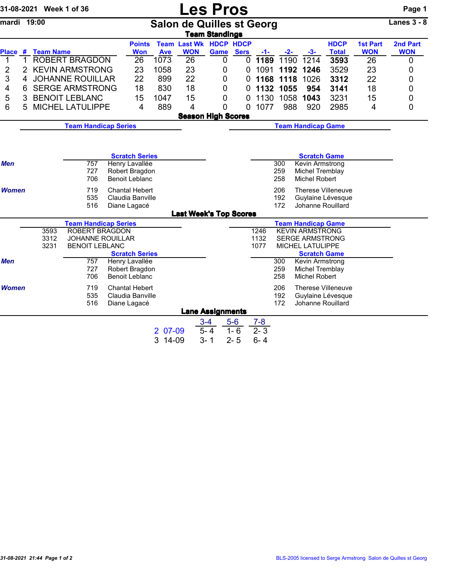|              |                                                          | 31-08-2021 Week 1 of 36       |                                                  |  |                                         |                                                       | <b>Les Pros</b>                             |                        |             |                                                            |            |                                  |                             |                               | Page 1                 |
|--------------|----------------------------------------------------------|-------------------------------|--------------------------------------------------|--|-----------------------------------------|-------------------------------------------------------|---------------------------------------------|------------------------|-------------|------------------------------------------------------------|------------|----------------------------------|-----------------------------|-------------------------------|------------------------|
| mardi 19:00  |                                                          |                               |                                                  |  |                                         |                                                       | <b>Salon de Quilles st Georg</b>            | <b>Team Standings</b>  |             |                                                            |            |                                  |                             |                               | Lanes $3 - 8$          |
|              |                                                          | Place # Team Name             |                                                  |  | <b>Points</b><br><b>Won</b>             | <b>Ave</b>                                            | <b>Team Last Wk HDCP HDCP</b><br><b>WON</b> | <b>Game</b>            | <b>Sers</b> | -1-                                                        | $-2-$      | $-3-$                            | <b>HDCP</b><br><b>Total</b> | <b>1st Part</b><br><b>WON</b> | 2nd Part<br><b>WON</b> |
| 1            | $\mathbf{1}$                                             |                               | <b>ROBERT BRAGDON</b>                            |  | 26                                      | 1073                                                  | 26                                          | 0                      | $\Omega$    |                                                            | 1189 1190  | 1214                             | 3593                        | 26                            | 0                      |
| 2            | $\overline{2}$                                           |                               | <b>KEVIN ARMSTRONG</b>                           |  | 23                                      | 1058                                                  | 23                                          | 0                      | 0           | 1091                                                       |            | 1192 1246                        | 3529                        | 23                            | 0                      |
| 3            | 4                                                        |                               | <b>JOHANNE ROUILLAR</b>                          |  | 22                                      | 899                                                   | 22                                          | 0                      | 0           |                                                            | 1168 1118  | 1026                             | 3312                        | 22                            | 0                      |
| 4            | 6                                                        |                               | <b>SERGE ARMSTRONG</b>                           |  | 18                                      | 830                                                   | 18                                          | 0                      | 0           |                                                            | 1132 1055  | 954                              | 3141                        | 18                            | 0                      |
| 5            | 3                                                        |                               | <b>BENOIT LEBLANC</b>                            |  | 15                                      | 1047                                                  | 15                                          | 0                      | 0           |                                                            | 1130 1058  | 1043                             | 3231                        | 15                            | 0                      |
| 6            | 5                                                        |                               | <b>MICHEL LATULIPPE</b>                          |  | $\overline{4}$                          | 889                                                   | 4                                           | 0                      | 0           | 1077                                                       | 988        | 920                              | 2985                        | 4                             | 0                      |
|              |                                                          |                               |                                                  |  |                                         |                                                       | <b>Season High Scores</b>                   |                        |             |                                                            |            |                                  |                             |                               |                        |
|              | <b>Team Handicap Series</b><br><b>Team Handicap Game</b> |                               |                                                  |  |                                         |                                                       |                                             |                        |             |                                                            |            |                                  |                             |                               |                        |
|              |                                                          |                               |                                                  |  |                                         |                                                       |                                             |                        |             |                                                            |            |                                  |                             |                               |                        |
|              |                                                          |                               |                                                  |  |                                         |                                                       |                                             |                        |             |                                                            |            |                                  |                             |                               |                        |
|              |                                                          |                               |                                                  |  | <b>Scratch Series</b>                   |                                                       |                                             |                        |             |                                                            |            | <b>Scratch Game</b>              |                             |                               |                        |
| <b>Men</b>   |                                                          | 757                           |                                                  |  | Henry Lavallée                          |                                                       |                                             | 300<br>Kevin Armstrong |             |                                                            |            |                                  |                             |                               |                        |
|              |                                                          |                               | 727<br>706                                       |  | Robert Bragdon<br><b>Benoit Leblanc</b> |                                                       |                                             |                        |             |                                                            | 259<br>258 | Michel Tremblay<br>Michel Robert |                             |                               |                        |
|              |                                                          |                               | 719                                              |  |                                         |                                                       |                                             |                        |             |                                                            |            |                                  |                             |                               |                        |
| <b>Women</b> |                                                          |                               | <b>Chantal Hebert</b><br>Claudia Banville        |  |                                         | 206<br>Therese Villeneuve<br>192<br>Guylaine Lévesque |                                             |                        |             |                                                            |            |                                  |                             |                               |                        |
| 535<br>516   |                                                          |                               | Diane Lagacé                                     |  |                                         | 172<br>Johanne Rouillard                              |                                             |                        |             |                                                            |            |                                  |                             |                               |                        |
|              |                                                          |                               |                                                  |  |                                         |                                                       | <b>Last Week's Top Scores</b>               |                        |             |                                                            |            |                                  |                             |                               |                        |
|              |                                                          |                               | <b>Team Handicap Series</b>                      |  |                                         |                                                       |                                             |                        |             |                                                            |            | <b>Team Handicap Game</b>        |                             |                               |                        |
|              |                                                          | 3593<br><b>ROBERT BRAGDON</b> |                                                  |  |                                         |                                                       |                                             |                        |             | 1246                                                       |            | <b>KEVIN ARMSTRONG</b>           |                             |                               |                        |
|              |                                                          | 3312                          | <b>JOHANNE ROUILLAR</b><br><b>BENOIT LEBLANC</b> |  |                                         |                                                       |                                             |                        |             | 1132<br><b>SERGE ARMSTRONG</b><br>1077<br>MICHEL LATULIPPE |            |                                  |                             |                               |                        |
|              |                                                          | 3231                          |                                                  |  | <b>Scratch Series</b>                   |                                                       |                                             |                        |             |                                                            |            | <b>Scratch Game</b>              |                             |                               |                        |
| Men          |                                                          |                               | 757                                              |  | Henry Lavallée                          |                                                       |                                             |                        |             |                                                            | 300        | Kevin Armstrong                  |                             |                               |                        |
|              |                                                          |                               | 727                                              |  | Robert Bragdon                          |                                                       |                                             |                        |             |                                                            | 259        | Michel Tremblay                  |                             |                               |                        |
|              |                                                          |                               | 706                                              |  | <b>Benoit Leblanc</b>                   |                                                       |                                             |                        |             |                                                            | 258        | Michel Robert                    |                             |                               |                        |
| Women        |                                                          |                               | 719                                              |  | <b>Chantal Hebert</b>                   |                                                       |                                             |                        |             |                                                            | 206        |                                  | Therese Villeneuve          |                               |                        |
|              |                                                          |                               | 535                                              |  | Claudia Banville                        |                                                       |                                             |                        |             |                                                            | 192        |                                  | Guylaine Lévesque           |                               |                        |
|              |                                                          |                               | 516                                              |  | Diane Lagacé                            |                                                       |                                             |                        |             |                                                            | 172        |                                  | Johanne Rouillard           |                               |                        |
|              |                                                          |                               |                                                  |  |                                         |                                                       | <b>Lane Assignments</b>                     |                        |             |                                                            |            |                                  |                             |                               |                        |
|              |                                                          |                               |                                                  |  |                                         |                                                       |                                             | $3 - 4$                | $5-6$       | $7 - 8$                                                    |            |                                  |                             |                               |                        |
|              |                                                          |                               |                                                  |  |                                         | 2 07-09                                               |                                             | $5 - 4$                | $1 - 6$     | $2 - 3$                                                    |            |                                  |                             |                               |                        |
|              |                                                          |                               |                                                  |  |                                         | 3 14-09                                               |                                             | $3 - 1$                | $2 - 5$     | $6 - 4$                                                    |            |                                  |                             |                               |                        |